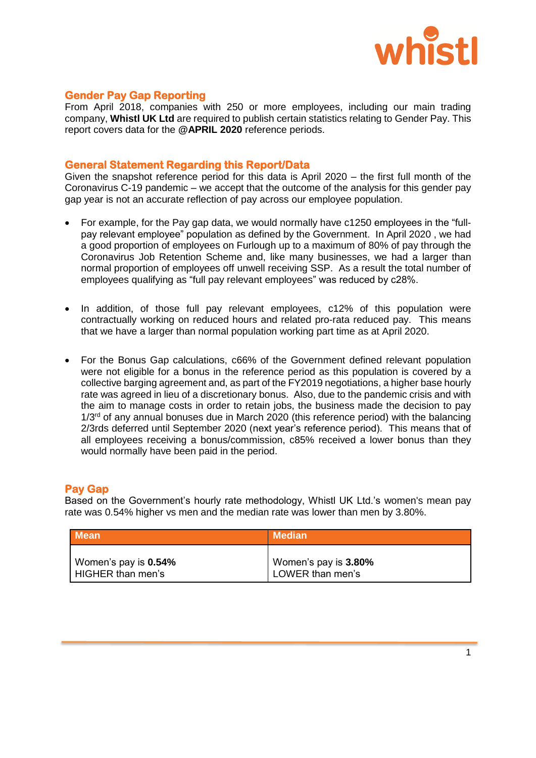

# **Gender Pay Gap Reporting**

From April 2018, companies with 250 or more employees, including our main trading company, **Whistl UK Ltd** are required to publish certain statistics relating to Gender Pay. This report covers data for the **@APRIL 2020** reference periods.

## **General Statement Regarding this Report/Data**

Given the snapshot reference period for this data is April 2020 – the first full month of the Coronavirus C-19 pandemic – we accept that the outcome of the analysis for this gender pay gap year is not an accurate reflection of pay across our employee population.

- For example, for the Pay gap data, we would normally have c1250 employees in the "fullpay relevant employee" population as defined by the Government. In April 2020 , we had a good proportion of employees on Furlough up to a maximum of 80% of pay through the Coronavirus Job Retention Scheme and, like many businesses, we had a larger than normal proportion of employees off unwell receiving SSP. As a result the total number of employees qualifying as "full pay relevant employees" was reduced by c28%.
- In addition, of those full pay relevant employees, c12% of this population were contractually working on reduced hours and related pro-rata reduced pay. This means that we have a larger than normal population working part time as at April 2020.
- For the Bonus Gap calculations, c66% of the Government defined relevant population were not eligible for a bonus in the reference period as this population is covered by a collective barging agreement and, as part of the FY2019 negotiations, a higher base hourly rate was agreed in lieu of a discretionary bonus. Also, due to the pandemic crisis and with the aim to manage costs in order to retain jobs, the business made the decision to pay  $1/3<sup>rd</sup>$  of any annual bonuses due in March 2020 (this reference period) with the balancing 2/3rds deferred until September 2020 (next year's reference period). This means that of all employees receiving a bonus/commission, c85% received a lower bonus than they would normally have been paid in the period.

## **Pay Gap**

Based on the Government's hourly rate methodology, Whistl UK Ltd.'s women's mean pay rate was 0.54% higher vs men and the median rate was lower than men by 3.80%.

| <b>Mean</b>          | <b>Median</b>        |
|----------------------|----------------------|
| Women's pay is 0.54% | Women's pay is 3.80% |
| HIGHER than men's    | LOWER than men's     |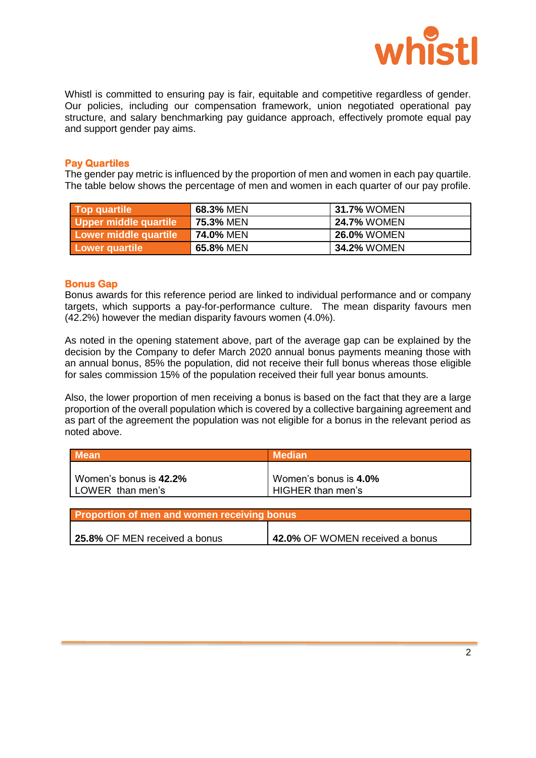

Whistl is committed to ensuring pay is fair, equitable and competitive regardless of gender. Our policies, including our compensation framework, union negotiated operational pay structure, and salary benchmarking pay guidance approach, effectively promote equal pay and support gender pay aims.

### **Pay Quartiles**

The gender pay metric is influenced by the proportion of men and women in each pay quartile. The table below shows the percentage of men and women in each quarter of our pay profile.

| Top quartile          | 68.3% MEN | 31.7% WOMEN        |
|-----------------------|-----------|--------------------|
| Upper middle quartile | 75.3% MEN | <b>24.7% WOMEN</b> |
| Lower middle quartile | 74.0% MEN | <b>26.0% WOMEN</b> |
| <b>Lower quartile</b> | 65.8% MEN | 34.2% WOMEN        |

## **Bonus Gap**

Bonus awards for this reference period are linked to individual performance and or company targets, which supports a pay-for-performance culture. The mean disparity favours men (42.2%) however the median disparity favours women (4.0%).

As noted in the opening statement above, part of the average gap can be explained by the decision by the Company to defer March 2020 annual bonus payments meaning those with an annual bonus, 85% the population, did not receive their full bonus whereas those eligible for sales commission 15% of the population received their full year bonus amounts.

Also, the lower proportion of men receiving a bonus is based on the fact that they are a large proportion of the overall population which is covered by a collective bargaining agreement and as part of the agreement the population was not eligible for a bonus in the relevant period as noted above.

| <b>Mean</b>            | <b>Median</b>         |
|------------------------|-----------------------|
| Women's bonus is 42.2% | Women's bonus is 4.0% |
| LOWER than men's       | HIGHER than men's     |

| Proportion of men and women receiving bonus |                                 |  |
|---------------------------------------------|---------------------------------|--|
|                                             |                                 |  |
| 25.8% OF MEN received a bonus               | 42.0% OF WOMEN received a bonus |  |